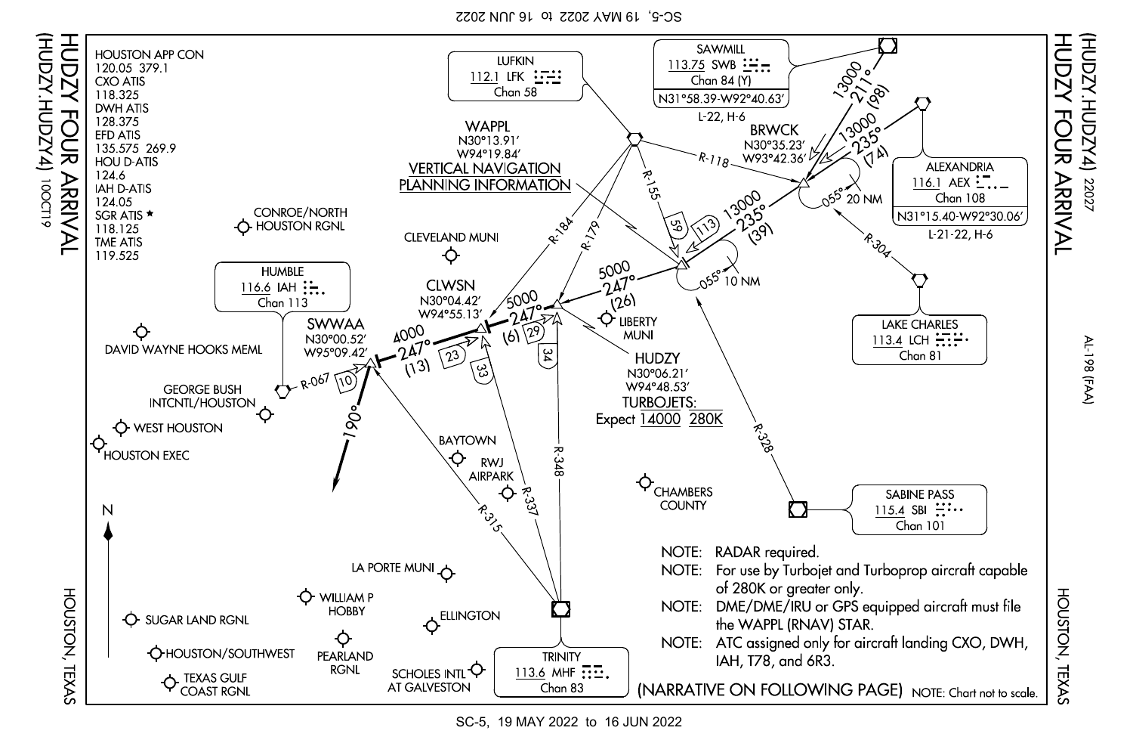SC-5, 19 MAY 2022 to 16 JUN 2022



SC-5, 19 MAY 2022 to 16 JUN 2022

AL 198 (FAA)